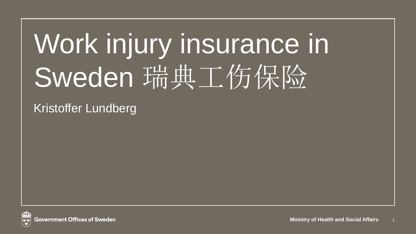# Work injury insurance in Sweden 瑞典工伤保险

Kristoffer Lundberg

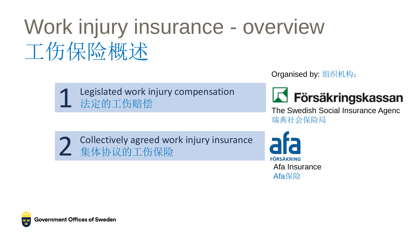# Work injury insurance - overview 工伤保险概述



Organised by: 组织机构;



The Swedish Social Insurance Agenc 瑞典社会保险局

2 Collectively agreed work injury insurance 集体协议的工伤保险

**FÖRSÄKRING** Afa Insurance Afa保险

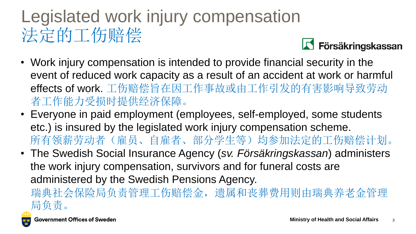### Legislated work injury compensation 法定的工伤赔偿



- Work injury compensation is intended to provide financial security in the event of reduced work capacity as a result of an accident at work or harmful effects of work. 工伤赔偿旨在因工作事故或由工作引发的有害影响导致劳动 者工作能力受损时提供经济保障。
- Everyone in paid employment (employees, self-employed, some students etc.) is insured by the legislated work injury compensation scheme. 所有领薪劳动者(雇员、自雇者、部分学生等)均参加法定的工伤赔偿计划。
- The Swedish Social Insurance Agency (*sv. Försäkringskassan*) administers the work injury compensation, survivors and for funeral costs are administered by the Swedish Pensions Agency.

瑞典社会保险局负责管理工伤赔偿金,遗属和丧葬费用则由瑞典养老金管理 局负责。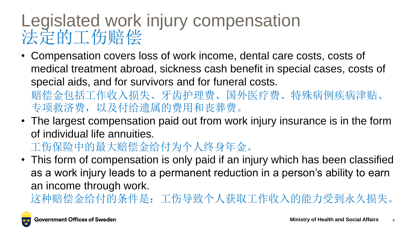#### Legislated work injury compensation 法定的工伤赔偿

- Compensation covers loss of work income, dental care costs, costs of medical treatment abroad, sickness cash benefit in special cases, costs of special aids, and for survivors and for funeral costs.
	- 赔偿金包括工作收入损失、牙齿护理费、国外医疗费、特殊病例疾病津贴、 专项救济费,以及付给遗属的费用和丧葬费。
- The largest compensation paid out from work injury insurance is in the form of individual life annuities.
	- 工伤保险中的最大赔偿金给付为个人终身年金。
- This form of compensation is only paid if an injury which has been classified as a work injury leads to a permanent reduction in a person's ability to earn an income through work.
	- 这种赔偿金给付的条件是:工伤导致个人获取工作收入的能力受到永久损失。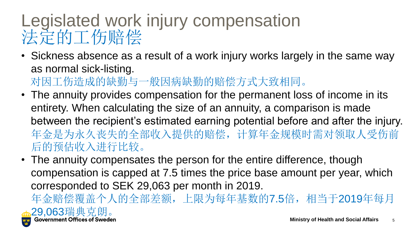#### Legislated work injury compensation 法定的工伤赔偿

• Sickness absence as a result of a work injury works largely in the same way as normal sick-listing.

对因工伤造成的缺勤与一般因病缺勤的赔偿方式大致相同。

- The annuity provides compensation for the permanent loss of income in its entirety. When calculating the size of an annuity, a comparison is made between the recipient's estimated earning potential before and after the injury. 年金是为永久丧失的全部收入提供的赔偿,计算年金规模时需对领取人受伤前 后的预估收入进行比较。
- The annuity compensates the person for the entire difference, though compensation is capped at 7.5 times the price base amount per year, which corresponded to SEK 29,063 per month in 2019.

年金赔偿覆盖个人的全部差额,上限为每年基数的7.5倍,相当于2019年每月

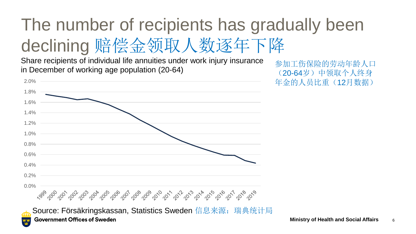## The number of recipients has gradually been declining 赔偿金领取人数逐年下降

Share recipients of individual life annuities under work injury insurance in December of working age population (20-64)

参加工伤保险的劳动年龄人口 (20-64岁)中领取个人终身 年金的人员比重(12月数据)



법/법<br>-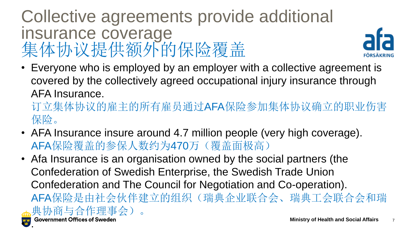#### Collective agreements provide additional insurance coverage 集体协议提供额外的保险覆盖



• Everyone who is employed by an employer with a collective agreement is covered by the collectively agreed occupational injury insurance through AFA Insurance.

订立集体协议的雇主的所有雇员通过AFA保险参加集体协议确立的职业伤害 保险。

- AFA Insurance insure around 4.7 million people (very high coverage). AFA保险覆盖的参保人数约为470万(覆盖面极高)
- Afa Insurance is an organisation owned by the social partners (the Confederation of Swedish Enterprise, the Swedish Trade Union Confederation and The Council for Negotiation and Co-operation). AFA保险是由社会伙伴建立的组织(瑞典企业联合会、瑞典工会联合会和瑞 典协商与合作理事会)。  $\frac{4}{10}$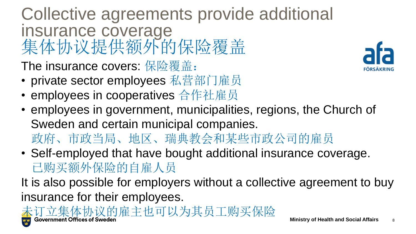Collective agreements provide additional insurance coverage 集体协议提供额外的保险覆盖

The insurance covers: 保险覆盖:

- private sector employees 私营部门雇员
- employees in cooperatives 合作社雇员
- employees in government, municipalities, regions, the Church of Sweden and certain municipal companies. 政府、市政当局、地区、瑞典教会和某些市政公司的雇员
- Self-employed that have bought additional insurance coverage. 已购买额外保险的自雇人员

It is also possible for employers without a collective agreement to buy insurance for their employees.